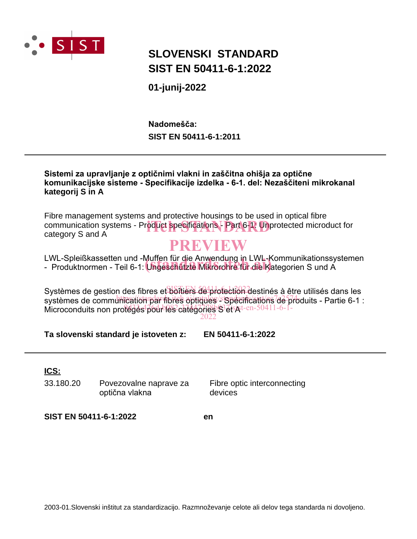

## **SLOVENSKI STANDARD SIST EN 50411-6-1:2022**

**01-junij-2022**

**SIST EN 50411-6-1:2011 Nadomešča:**

### **Sistemi za upravljanje z optičnimi vlakni in zaščitna ohišja za optične komunikacijske sisteme - Specifikacije izdelka - 6-1. del: Nezaščiteni mikrokanal kategorij S in A**

Fibre management systems and protective housings to be used in optical fibre communication systems - Product specifications - Part 6-1: Unprotected microduct for<br>Category S and A category S and A

## **PREVIEW**

LWL-Spleißkassetten und -Muffen für die Anwendung in LWL-Kommunikationssystemen LWL-Spiellskassetten und -Muffen für die Anwendung in LWL-Kommunikationssy<br>- Produktnormen - Teil 6-1: **Ungeschützte Mikrorohre für die K**ategorien S und A

Systèmes de gestion des fibres et boîtiers de protection destinés à être utilisés dans les systèmes de communic<u>ation par fibres optiques sispécifications</u>/de<sup>5</sup>d/oduits - Partie 6-1 : Microconduits non protégés pour les catégories S disAt-en-50411-6-1-

2022

**Ta slovenski standard je istoveten z: EN 50411-6-1:2022**

**ICS:**

33.180.20 Povezovalne naprave za optična vlakna

Fibre optic interconnecting devices

**SIST EN 50411-6-1:2022 en**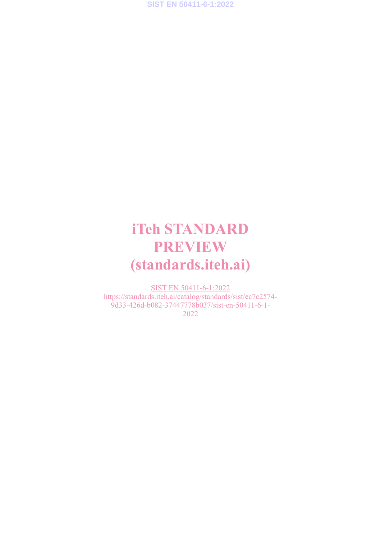# **iTeh STANDARD PREVIEW (standards.iteh.ai)**

SIST EN 50411-6-1:2022 https://standards.iteh.ai/catalog/standards/sist/ec7c2574- 9d33-426d-b082-37447778b037/sist-en-50411-6-1- 2022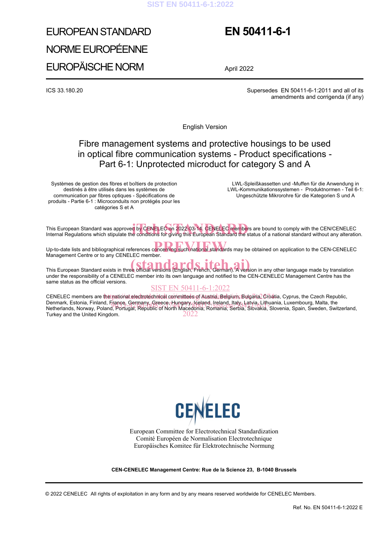#### **SIST EN 50411-6-1:2022**

# EUROPEAN STANDARD NORME EUROPÉENNE EUROPÄISCHE NORM

## **EN 50411-6-1**

April 2022

ICS 33.180.20 Supersedes EN 50411-6-1:2011 and all of its amendments and corrigenda (if any)

English Version

## Fibre management systems and protective housings to be used in optical fibre communication systems - Product specifications - Part 6-1: Unprotected microduct for category S and A

Systèmes de gestion des fibres et boîtiers de protection destinés à être utilisés dans les systèmes de communication par fibres optiques - Spécifications de produits - Partie 6-1 : Microconduits non protégés pour les catégories S et A

 LWL-Spleißkassetten und -Muffen für die Anwendung in LWL-Kommunikationssystemen - Produktnormen - Teil 6-1: Ungeschützte Mikrorohre für die Kategorien S und A

This European Standard was approved by CENELEC on 2022-03-14. CENELEC members are bound to comply with the CEN/CENELEC This European Standard was approved by CENELEC on 2022-03<mark>-14. CENELEC membe</mark>rs are bound to comply with the CEN/CENELEC<br>Internal Regulations which stipulate the conditions for giving this European Standard the status of a

Up-to-date lists and bibliographical references concerning such national standards may be obtained on application to the CEN-CENELEC Management Centre or to any CENELEC member.

# This European Standard exists in three official versions (English, French, German). A version in any other language made by translation

under the responsibility of a CENELEC member into its own language and notified to the CEN-CENELEC Management Centre has the same status as the official versions.

#### SIST EN 50411-6-1:2022

CENELEC members are t<mark>het pational electrotechnical committees o</mark>f Austria, Belgium, Bulgaria, Ōroatia, Cyprus, the Czech Republic, Denmark, Estonia, Finland, France, Germany, Greece, Hungary, Iceland, Ireland, Italy, Latvia, Lithuania, Luxembourg, Malta, the<br>Netherlands, Norway, Poland, Portugal, Republic of North Macedonia, Bomania, Serbia, Slovakia, Netherlands, Norway, Poland, Portugal, Republic of North Macedonia, Romania, Serbia, Slovakia, Slovenia, Spain, Sweden, Switzerland,<br>Turkey and the United Kingdom. Turkey and the United Kingdom.



European Committee for Electrotechnical Standardization Comité Européen de Normalisation Electrotechnique Europäisches Komitee für Elektrotechnische Normung

**CEN-CENELEC Management Centre: Rue de la Science 23, B-1040 Brussels**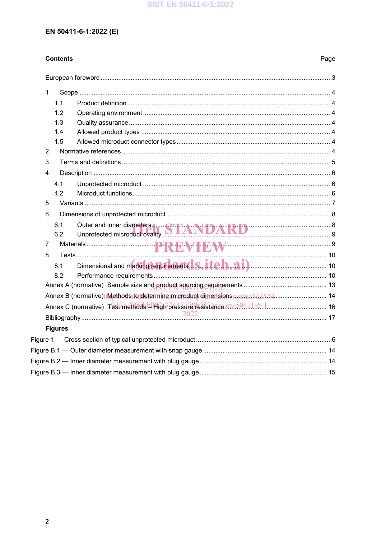## EN 50411-6-1:2022 (E)

## **Contents**

| $\mathbf{1}$   |                |                                                                           |  |
|----------------|----------------|---------------------------------------------------------------------------|--|
|                | 1.1            |                                                                           |  |
|                | 1.2            |                                                                           |  |
|                | 1.3            |                                                                           |  |
|                | 1.4            |                                                                           |  |
|                | 1.5            |                                                                           |  |
| $\overline{2}$ |                |                                                                           |  |
| 3              |                |                                                                           |  |
| $\overline{4}$ |                |                                                                           |  |
|                | 4.1            |                                                                           |  |
|                | 4.2            |                                                                           |  |
| 5              |                |                                                                           |  |
| 6              |                |                                                                           |  |
|                | 6.1            | Outer and inner diameters <b>IL COLORAL MATER AND TRANSITION</b>          |  |
|                | 6.2            | Unprotected microduct ovality <b>DIANDARD</b>                             |  |
| $\overline{7}$ |                |                                                                           |  |
| 8              |                |                                                                           |  |
|                | 8.1            |                                                                           |  |
|                | 8.2            |                                                                           |  |
|                |                |                                                                           |  |
|                |                |                                                                           |  |
|                |                | Annex C (normative) Test?metR6ds b09ign?pressure resistance.cn-50411-6-1- |  |
|                |                |                                                                           |  |
|                | <b>Figures</b> |                                                                           |  |
|                |                |                                                                           |  |
|                |                |                                                                           |  |
|                |                |                                                                           |  |
|                |                |                                                                           |  |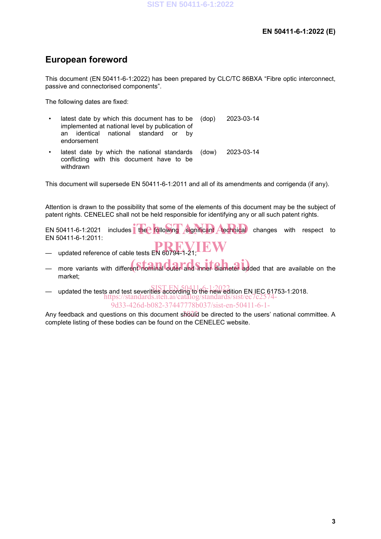## **European foreword**

This document (EN 50411-6-1:2022) has been prepared by CLC/TC 86BXA "Fibre optic interconnect, passive and connectorised components".

The following dates are fixed:

latest date by which this document has to be implemented at national level by publication of an identical national standard or by endorsement (dop) 2023-03-14 latest date by which the national standards conflicting with this document have to be withdrawn (dow) 2023-03-14

This document will supersede EN 50411-6-1:2011 and all of its amendments and corrigenda (if any).

Attention is drawn to the possibility that some of the elements of this document may be the subject of patent rights. CENELEC shall not be held responsible for identifying any or all such patent rights.

EN 50411-6-1:2021 includes the following significant **Atechnical** changes with respect to EN 50411-6-1:2011:

- updated reference of cable tests EN 60794-1-21; **PREVIEW**
- more variants with different nominal outer and **Shner diameter added that are available on the** market;
- updated the tests and test severities according to the new edition EN IEC 61753-1:2018. SIST EN 50411-6-1:2022 https://standards.iteh.ai/catalog/standards/sist/ec 9d33-426d-b082-37447778b037/sist-en-50411-6-1-

Any feedback and questions on this document should be directed to the users' national committee. A complete listing of these bodies can be found on the CENELEC website.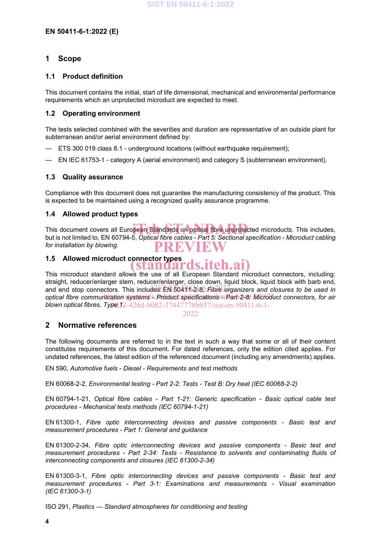#### **1 Scope**

#### **1.1 Product definition**

This document contains the initial, start of life dimensional, mechanical and environmental performance requirements which an unprotected microduct are expected to meet.

#### **1.2 Operating environment**

The tests selected combined with the severities and duration are representative of an outside plant for subterranean and/or aerial environment defined by:

- ETS 300 019 class 8.1 underground locations (without earthquake requirement);
- EN IEC 61753-1 category A (aerial environment) and category S (subterranean environment).

#### **1.3 Quality assurance**

Compliance with this document does not guarantee the manufacturing consistency of the product. This is expected to be maintained using a recognized quality assurance programme.

#### **1.4 Allowed product types**

This document covers all European Standards on optical fibre unprotected microducts. This includes, but is not limited to, EN 60794-5, *Optical fibre cables - Part 5: Sectional specification - Microduct cabling for installation by blowing*. **PREVIEW**

#### **1.5 Allowed microduct connector types**

This microduct standard allows the use of all European Standard microduct connectors, including: straight, reducer/enlarger stem, reducer/enlarger, close down, liquid block, liquid block with barb end, and end stop connectors. This includes EN 50491-218, *Fibre organizers and closures to be used in* optical fibre communication systems - Product specifications - Part 2-8: Microduct connectors, for air **blown optical fibres, Type 13**3-426d-b082-37447778b037/sist-en-50411-6-1-**(standards.iteh.ai)**

2022

#### **2 Normative references**

The following documents are referred to in the text in such a way that some or all of their content constitutes requirements of this document. For dated references, only the edition cited applies. For undated references, the latest edition of the referenced document (including any amendments) applies.

EN 590, *Automotive fuels - Diesel - Requirements and test methods*

EN 60068-2-2, *Environmental testing - Part 2-2: Tests - Test B: Dry heat (IEC 60068-2-2)*

EN 60794-1-21, *Optical fibre cables - Part 1-21: Generic specification - Basic optical cable test procedures - Mechanical tests methods (IEC 60794-1-21)*

EN 61300-1, *Fibre optic interconnecting devices and passive components - Basic test and measurement procedures - Part 1: General and guidance*

EN 61300-2-34, *Fibre optic interconnecting devices and passive components - Basic test and measurement procedures - Part 2-34: Tests - Resistance to solvents and contaminating fluids of interconnecting components and closures (IEC 61300-2-34)*

EN 61300-3-1, *Fibre optic interconnecting devices and passive components - Basic test and measurement procedures - Part 3-1: Examinations and measurements - Visual examination (IEC 61300-3-1)*

ISO 291, *Plastics — Standard atmospheres for conditioning and testing*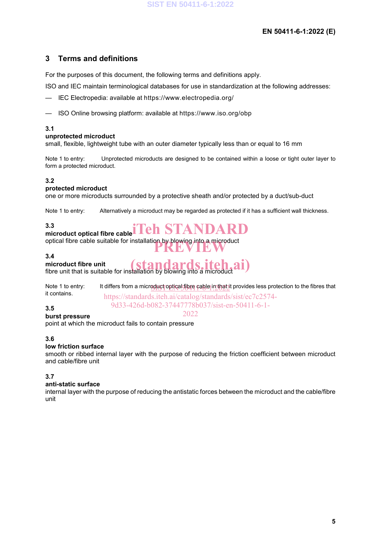### **EN 50411-6-1:2022 (E)**

## **3 Terms and definitions**

For the purposes of this document, the following terms and definitions apply.

ISO and IEC maintain terminological databases for use in standardization at the following addresses:

- IEC Electropedia: available at https://www.electropedia.org/
- ISO Online browsing platform: available at https://www.iso.org/obp

#### **3.1**

#### **unprotected microduct**

small, flexible, lightweight tube with an outer diameter typically less than or equal to 16 mm

Note 1 to entry: Unprotected microducts are designed to be contained within a loose or tight outer layer to form a protected microduct.

#### **3.2**

#### **protected microduct**

one or more microducts surrounded by a protective sheath and/or protected by a duct/sub-duct

Note 1 to entry: Alternatively a microduct may be regarded as protected if it has a sufficient wall thickness.

#### **3.3**

# **microduct optical fibre cable iTeh STANDARD**

optical fibre cable suitable for installation by blowing into a microduct<br> **PREVIEW** 

#### **3.4**

#### **microduct fibre unit**

**order that is suitable for installation by blowing into a microduct ai)**<br>fibre unit that is suitable for installation by blowing into a microduct **ai**)

Note 1 to entry: It differs from a microduct optical fibre cable in that it provides less protection to the fibres that  $\frac{1}{2}$ it contains. https://standards.iteh.ai/catalog/standards/sist/ec7c2574-

2022

9d33-426d-b082-37447778b037/sist-en-50411-6-1-

#### **3.5**

#### **burst pressure**

point at which the microduct fails to contain pressure

#### **3.6**

#### **low friction surface**

smooth or ribbed internal layer with the purpose of reducing the friction coefficient between microduct and cable/fibre unit

#### **3.7**

#### **anti-static surface**

internal layer with the purpose of reducing the antistatic forces between the microduct and the cable/fibre unit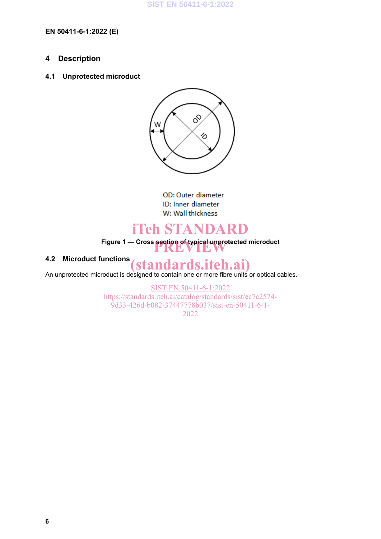#### **EN 50411-6-1:2022 (E)**

## **4 Description**

#### **4.1 Unprotected microduct**



OD: Outer diameter ID: Inner diameter W: Wall thickness

# **iTeh STANDARD**

**Figure 1 — Cross section of typical unprotected microduct PREVIEW**

## **4.2 Microduct functions**

An unprotected microduct is designed to contain one or more fibre units or optical cables. **(standards.iteh.ai)**

> SIST EN 50411-6-1:2022 https://standards.iteh.ai/catalog/standards/sist/ec7c2574- 9d33-426d-b082-37447778b037/sist-en-50411-6-1- 2022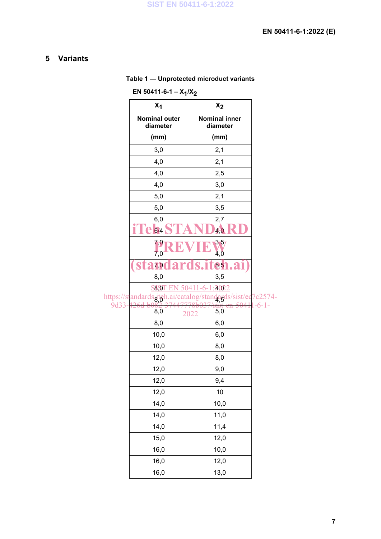## **5 Variants**

|  | Table 1 - Unprotected microduct variants |  |  |
|--|------------------------------------------|--|--|
|--|------------------------------------------|--|--|

| EN 50411-6-1 - $X_1/X_2$                   |                    |  |  |  |
|--------------------------------------------|--------------------|--|--|--|
| $x_2$                                      |                    |  |  |  |
| <b>Nominal inner</b><br>diameter           |                    |  |  |  |
| (mm)                                       |                    |  |  |  |
| 2,1                                        |                    |  |  |  |
| 2,1                                        |                    |  |  |  |
| 2,5                                        |                    |  |  |  |
| 3,0                                        |                    |  |  |  |
| 2,1                                        |                    |  |  |  |
| 3,5                                        |                    |  |  |  |
| 2,7                                        |                    |  |  |  |
| $\sqrt{0}$                                 |                    |  |  |  |
| 3,5/                                       |                    |  |  |  |
| 4,0                                        |                    |  |  |  |
| 6,5                                        |                    |  |  |  |
| 3,5                                        |                    |  |  |  |
| 2002<br><b>S8,0</b><br>https://stan<br>8.Q |                    |  |  |  |
|                                            | 7c2574-<br>$-6-1-$ |  |  |  |
| 5,0                                        |                    |  |  |  |
| 6,0                                        |                    |  |  |  |
| 6,0                                        |                    |  |  |  |
| 8,0                                        |                    |  |  |  |
| 8,0                                        |                    |  |  |  |
| 9,0                                        |                    |  |  |  |
| 9,4                                        |                    |  |  |  |
| 10                                         |                    |  |  |  |
| 10,0                                       |                    |  |  |  |
| 11,0                                       |                    |  |  |  |
| 11,4                                       |                    |  |  |  |
| 12,0                                       |                    |  |  |  |
| 10,0                                       |                    |  |  |  |
| 12,0                                       |                    |  |  |  |
| 13,0                                       |                    |  |  |  |
|                                            | daro               |  |  |  |